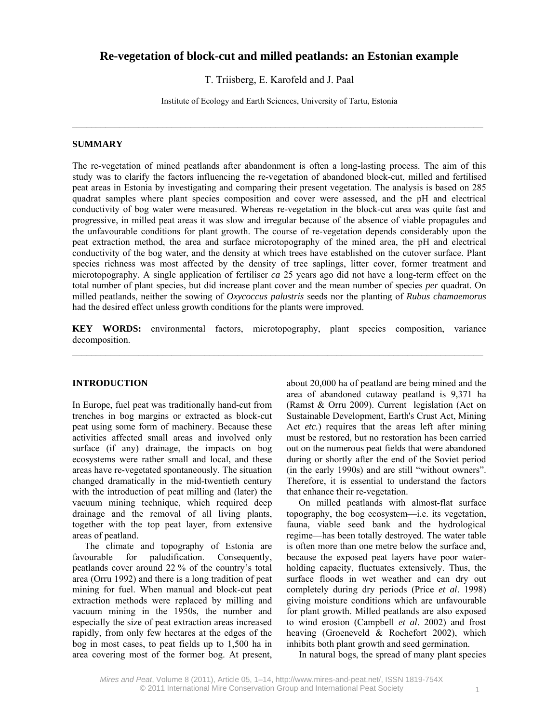# **Re-vegetation of block-cut and milled peatlands: an Estonian example**

T. Triisberg, E. Karofeld and J. Paal

Institute of Ecology and Earth Sciences, University of Tartu, Estonia

 $\mathcal{L}_\mathcal{L} = \{ \mathcal{L}_\mathcal{L} = \{ \mathcal{L}_\mathcal{L} = \{ \mathcal{L}_\mathcal{L} = \{ \mathcal{L}_\mathcal{L} = \{ \mathcal{L}_\mathcal{L} = \{ \mathcal{L}_\mathcal{L} = \{ \mathcal{L}_\mathcal{L} = \{ \mathcal{L}_\mathcal{L} = \{ \mathcal{L}_\mathcal{L} = \{ \mathcal{L}_\mathcal{L} = \{ \mathcal{L}_\mathcal{L} = \{ \mathcal{L}_\mathcal{L} = \{ \mathcal{L}_\mathcal{L} = \{ \mathcal{L}_\mathcal{$ 

### **SUMMARY**

The re-vegetation of mined peatlands after abandonment is often a long-lasting process. The aim of this study was to clarify the factors influencing the re-vegetation of abandoned block-cut, milled and fertilised peat areas in Estonia by investigating and comparing their present vegetation. The analysis is based on 285 quadrat samples where plant species composition and cover were assessed, and the pH and electrical conductivity of bog water were measured. Whereas re-vegetation in the block-cut area was quite fast and progressive, in milled peat areas it was slow and irregular because of the absence of viable propagules and the unfavourable conditions for plant growth. The course of re-vegetation depends considerably upon the peat extraction method, the area and surface microtopography of the mined area, the pH and electrical conductivity of the bog water, and the density at which trees have established on the cutover surface. Plant species richness was most affected by the density of tree saplings, litter cover, former treatment and microtopography. A single application of fertiliser *ca* 25 years ago did not have a long-term effect on the total number of plant species, but did increase plant cover and the mean number of species *per* quadrat. On milled peatlands, neither the sowing of *Oxycoccus palustris* seeds nor the planting of *Rubus chamaemorus* had the desired effect unless growth conditions for the plants were improved.

**KEY WORDS:** environmental factors, microtopography, plant species composition, variance decomposition.

#### **INTRODUCTION**

In Europe, fuel peat was traditionally hand-cut from trenches in bog margins or extracted as block-cut peat using some form of machinery. Because these activities affected small areas and involved only surface (if any) drainage, the impacts on bog ecosystems were rather small and local, and these areas have re-vegetated spontaneously. The situation changed dramatically in the mid-twentieth century with the introduction of peat milling and (later) the vacuum mining technique, which required deep drainage and the removal of all living plants, together with the top peat layer, from extensive areas of peatland.

The climate and topography of Estonia are favourable for paludification. Consequently, peatlands cover around 22 % of the country's total area (Orru 1992) and there is a long tradition of peat mining for fuel. When manual and block-cut peat extraction methods were replaced by milling and vacuum mining in the 1950s, the number and especially the size of peat extraction areas increased rapidly, from only few hectares at the edges of the bog in most cases, to peat fields up to 1,500 ha in area covering most of the former bog. At present,

about 20,000 ha of peatland are being mined and the area of abandoned cutaway peatland is 9,371 ha (Ramst & Orru 2009). Current legislation (Act on Sustainable Development, Earth's Crust Act, Mining Act *etc.*) requires that the areas left after mining must be restored, but no restoration has been carried out on the numerous peat fields that were abandoned during or shortly after the end of the Soviet period (in the early 1990s) and are still "without owners". Therefore, it is essential to understand the factors that enhance their re-vegetation.

On milled peatlands with almost-flat surface topography, the bog ecosystem—i.e. its vegetation, fauna, viable seed bank and the hydrological regime—has been totally destroyed. The water table is often more than one metre below the surface and, because the exposed peat layers have poor waterholding capacity, fluctuates extensively. Thus, the surface floods in wet weather and can dry out completely during dry periods (Price *et al*. 1998) giving moisture conditions which are unfavourable for plant growth. Milled peatlands are also exposed to wind erosion (Campbell *et al*. 2002) and frost heaving (Groeneveld & Rochefort 2002), which inhibits both plant growth and seed germination.

In natural bogs, the spread of many plant species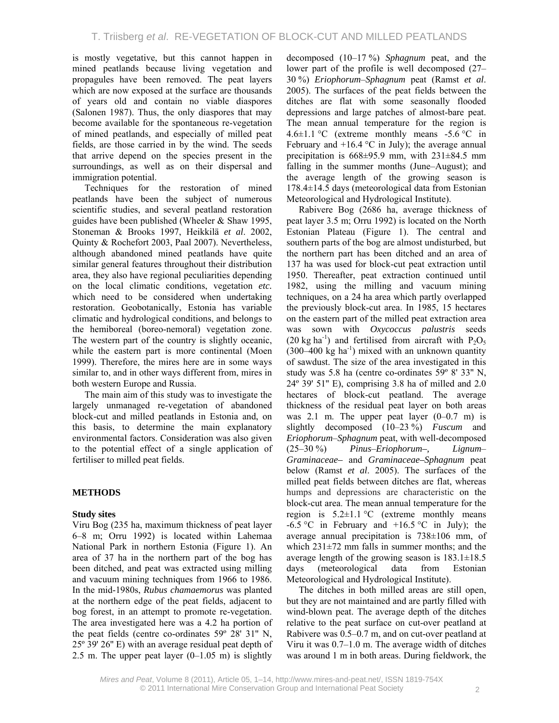is mostly vegetative, but this cannot happen in mined peatlands because living vegetation and propagules have been removed. The peat layers which are now exposed at the surface are thousands of years old and contain no viable diaspores (Salonen 1987). Thus, the only diaspores that may become available for the spontaneous re-vegetation of mined peatlands, and especially of milled peat fields, are those carried in by the wind. The seeds that arrive depend on the species present in the surroundings, as well as on their dispersal and immigration potential.

Techniques for the restoration of mined peatlands have been the subject of numerous scientific studies, and several peatland restoration guides have been published (Wheeler & Shaw 1995, Stoneman & Brooks 1997, Heikkilä *et al*. 2002, Quinty & Rochefort 2003, Paal 2007). Nevertheless, although abandoned mined peatlands have quite similar general features throughout their distribution area, they also have regional peculiarities depending on the local climatic conditions, vegetation *etc.* which need to be considered when undertaking restoration. Geobotanically, Estonia has variable climatic and hydrological conditions, and belongs to the hemiboreal (boreo-nemoral) vegetation zone. The western part of the country is slightly oceanic, while the eastern part is more continental (Moen 1999). Therefore, the mires here are in some ways similar to, and in other ways different from, mires in both western Europe and Russia.

The main aim of this study was to investigate the largely unmanaged re-vegetation of abandoned block-cut and milled peatlands in Estonia and, on this basis, to determine the main explanatory environmental factors. Consideration was also given to the potential effect of a single application of fertiliser to milled peat fields.

# **METHODS**

### **Study sites**

Viru Bog (235 ha, maximum thickness of peat layer 6–8 m; Orru 1992) is located within Lahemaa National Park in northern Estonia (Figure 1). An area of 37 ha in the northern part of the bog has been ditched, and peat was extracted using milling and vacuum mining techniques from 1966 to 1986. In the mid-1980s, *Rubus chamaemorus* was planted at the northern edge of the peat fields, adjacent to bog forest, in an attempt to promote re-vegetation. The area investigated here was a 4.2 ha portion of the peat fields (centre co-ordinates 59º 28' 31'' N, 25º 39' 26'' E) with an average residual peat depth of 2.5 m. The upper peat layer  $(0-1.05 \text{ m})$  is slightly

decomposed (10–17 %) *Sphagnum* peat, and the lower part of the profile is well decomposed (27– 30 %) *Eriophorum*–*Sphagnum* peat (Ramst *et al*. 2005). The surfaces of the peat fields between the ditches are flat with some seasonally flooded depressions and large patches of almost-bare peat. The mean annual temperature for the region is 4.6 $\pm$ 1.1 °C (extreme monthly means -5.6 °C in February and  $+16.4$  °C in July); the average annual precipitation is  $668\pm95.9$  mm, with  $231\pm84.5$  mm falling in the summer months (June–August); and the average length of the growing season is 178.4±14.5 days (meteorological data from Estonian Meteorological and Hydrological Institute).

Rabivere Bog (2686 ha, average thickness of peat layer 3.5 m; Orru 1992) is located on the North Estonian Plateau (Figure 1). The central and southern parts of the bog are almost undisturbed, but the northern part has been ditched and an area of 137 ha was used for block-cut peat extraction until 1950. Thereafter, peat extraction continued until 1982, using the milling and vacuum mining techniques, on a 24 ha area which partly overlapped the previously block-cut area. In 1985, 15 hectares on the eastern part of the milled peat extraction area was sown with *Oxycoccus palustris* seeds (20 kg ha<sup>-1</sup>) and fertilised from aircraft with  $P_2O_5$  $(300-400 \text{ kg ha}^{-1})$  mixed with an unknown quantity of sawdust. The size of the area investigated in this study was 5.8 ha (centre co-ordinates 59º 8' 33'' N, 24º 39' 51'' E), comprising 3.8 ha of milled and 2.0 hectares of block-cut peatland. The average thickness of the residual peat layer on both areas was 2.1 m. The upper peat layer  $(0-0.7 \text{ m})$  is slightly decomposed (10–23 %) *Fuscum* and *Eriophorum*–*Sphagnum* peat, with well-decomposed (25–30 %) *Pinus*–*Eriophorum–, Lignum*– *Graminaceae–* and *Graminaceae–Sphagnum* peat below (Ramst *et al*. 2005). The surfaces of the milled peat fields between ditches are flat, whereas humps and depressions are characteristic on the block-cut area. The mean annual temperature for the region is  $5.2 \pm 1.1$  °C (extreme monthly means  $-6.5$  °C in February and  $+16.5$  °C in July); the average annual precipitation is 738±106 mm, of which  $231\pm72$  mm falls in summer months; and the average length of the growing season is 183.1±18.5 days (meteorological data from Estonian Meteorological and Hydrological Institute).

The ditches in both milled areas are still open, but they are not maintained and are partly filled with wind-blown peat. The average depth of the ditches relative to the peat surface on cut-over peatland at Rabivere was 0.5–0.7 m, and on cut-over peatland at Viru it was 0.7–1.0 m. The average width of ditches was around 1 m in both areas. During fieldwork, the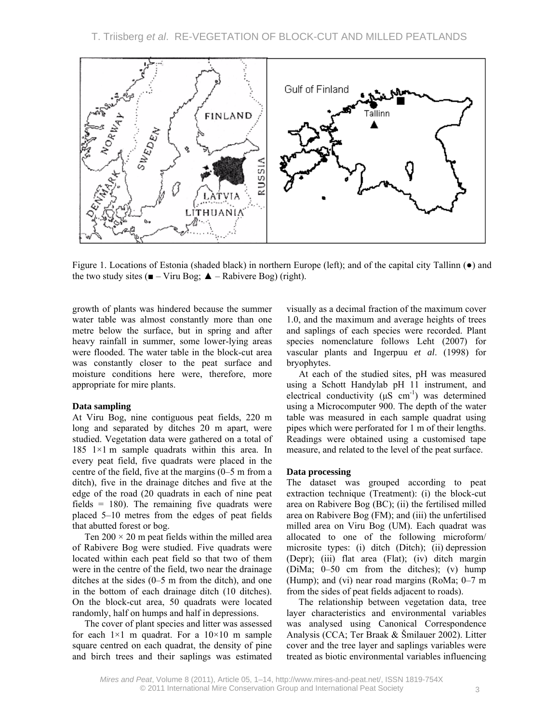

Figure 1. Locations of Estonia (shaded black) in northern Europe (left); and of the capital city Tallinn (●) and the two study sites ( $\blacksquare$  – Viru Bog;  $\blacktriangle$  – Rabivere Bog) (right).

growth of plants was hindered because the summer water table was almost constantly more than one metre below the surface, but in spring and after heavy rainfall in summer, some lower-lying areas were flooded. The water table in the block-cut area was constantly closer to the peat surface and moisture conditions here were, therefore, more appropriate for mire plants.

### **Data sampling**

At Viru Bog, nine contiguous peat fields, 220 m long and separated by ditches 20 m apart, were studied. Vegetation data were gathered on a total of 185 1 $\times$ 1 m sample quadrats within this area. In every peat field, five quadrats were placed in the centre of the field, five at the margins (0–5 m from a ditch), five in the drainage ditches and five at the edge of the road (20 quadrats in each of nine peat fields  $= 180$ ). The remaining five quadrats were placed 5–10 metres from the edges of peat fields that abutted forest or bog.

Ten  $200 \times 20$  m peat fields within the milled area of Rabivere Bog were studied. Five quadrats were located within each peat field so that two of them were in the centre of the field, two near the drainage ditches at the sides (0–5 m from the ditch), and one in the bottom of each drainage ditch (10 ditches). On the block-cut area, 50 quadrats were located randomly, half on humps and half in depressions.

The cover of plant species and litter was assessed for each  $1\times1$  m quadrat. For a  $10\times10$  m sample square centred on each quadrat, the density of pine and birch trees and their saplings was estimated visually as a decimal fraction of the maximum cover 1.0, and the maximum and average heights of trees and saplings of each species were recorded. Plant species nomenclature follows Leht (2007) for vascular plants and Ingerpuu *et al*. (1998) for bryophytes.

At each of the studied sites, pH was measured using a Schott Handylab pH 11 instrument, and electrical conductivity ( $\mu$ S cm<sup>-1</sup>) was determined using a Microcomputer 900. The depth of the water table was measured in each sample quadrat using pipes which were perforated for 1 m of their lengths. Readings were obtained using a customised tape measure, and related to the level of the peat surface.

#### **Data processing**

The dataset was grouped according to peat extraction technique (Treatment): (i) the block-cut area on Rabivere Bog (BC); (ii) the fertilised milled area on Rabivere Bog (FM); and (iii) the unfertilised milled area on Viru Bog (UM). Each quadrat was allocated to one of the following microform/ microsite types: (i) ditch (Ditch); (ii) depression (Depr); (iii) flat area (Flat); (iv) ditch margin (DiMa; 0–50 cm from the ditches); (v) hump (Hump); and (vi) near road margins (RoMa; 0–7 m from the sides of peat fields adjacent to roads).

The relationship between vegetation data, tree layer characteristics and environmental variables was analysed using Canonical Correspondence Analysis (CCA; Ter Braak & Šmilauer 2002). Litter cover and the tree layer and saplings variables were treated as biotic environmental variables influencing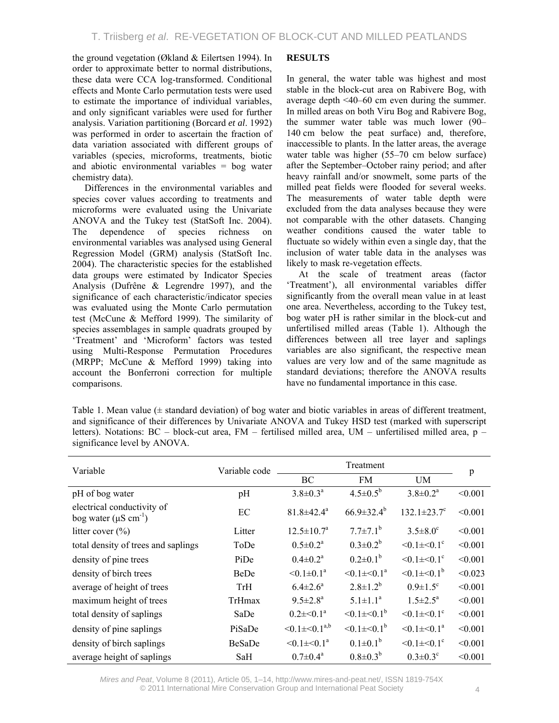the ground vegetation (Økland & Eilertsen 1994). In order to approximate better to normal distributions, these data were CCA log-transformed. Conditional effects and Monte Carlo permutation tests were used to estimate the importance of individual variables, and only significant variables were used for further analysis. Variation partitioning (Borcard *et al*. 1992) was performed in order to ascertain the fraction of data variation associated with different groups of variables (species, microforms, treatments, biotic and abiotic environmental variables = bog water chemistry data).

Differences in the environmental variables and species cover values according to treatments and microforms were evaluated using the Univariate ANOVA and the Tukey test (StatSoft Inc. 2004). The dependence of species richness on environmental variables was analysed using General Regression Model (GRM) analysis (StatSoft Inc. 2004). The characteristic species for the established data groups were estimated by Indicator Species Analysis (Dufrêne & Legrendre 1997), and the significance of each characteristic/indicator species was evaluated using the Monte Carlo permutation test (McCune & Mefford 1999). The similarity of species assemblages in sample quadrats grouped by 'Treatment' and 'Microform' factors was tested using Multi-Response Permutation Procedures (MRPP; McCune & Mefford 1999) taking into account the Bonferroni correction for multiple comparisons.

## **RESULTS**

In general, the water table was highest and most stable in the block-cut area on Rabivere Bog, with average depth <40–60 cm even during the summer. In milled areas on both Viru Bog and Rabivere Bog, the summer water table was much lower (90– 140 cm below the peat surface) and, therefore, inaccessible to plants. In the latter areas, the average water table was higher (55–70 cm below surface) after the September–October rainy period; and after heavy rainfall and/or snowmelt, some parts of the milled peat fields were flooded for several weeks. The measurements of water table depth were excluded from the data analyses because they were not comparable with the other datasets. Changing weather conditions caused the water table to fluctuate so widely within even a single day, that the inclusion of water table data in the analyses was likely to mask re-vegetation effects.

At the scale of treatment areas (factor 'Treatment'), all environmental variables differ significantly from the overall mean value in at least one area. Nevertheless, according to the Tukey test, bog water pH is rather similar in the block-cut and unfertilised milled areas (Table 1). Although the differences between all tree layer and saplings variables are also significant, the respective mean values are very low and of the same magnitude as standard deviations; therefore the ANOVA results have no fundamental importance in this case.

Table 1. Mean value (± standard deviation) of bog water and biotic variables in areas of different treatment, and significance of their differences by Univariate ANOVA and Tukey HSD test (marked with superscript letters). Notations: BC – block-cut area, FM – fertilised milled area, UM – unfertilised milled area, p – significance level by ANOVA.

| Variable                                                             | Variable code |                              |                              |                               |         |
|----------------------------------------------------------------------|---------------|------------------------------|------------------------------|-------------------------------|---------|
|                                                                      |               | <b>BC</b>                    | <b>FM</b>                    | <b>UM</b>                     | p       |
| pH of bog water                                                      | pH            | $3.8 \pm 0.3^a$              | $4.5 \pm 0.5^b$              | $3.8 \pm 0.2^a$               | < 0.001 |
| electrical conductivity of<br>bog water ( $\mu$ S cm <sup>-1</sup> ) | EC            | $81.8 \pm 42.4^{\circ}$      | $66.9 \pm 32.4^b$            | $132.1 \pm 23.7$ <sup>c</sup> | < 0.001 |
| litter cover $(\% )$                                                 | Litter        | $12.5 \pm 10.7^{\text{a}}$   | $7.7 \pm 7.1^b$              | $3.5 \pm 8.0^{\circ}$         | < 0.001 |
| total density of trees and saplings                                  | ToDe          | $0.5 \pm 0.2^{\text{a}}$     | $0.3 \pm 0.2^b$              | $< 0.1 \pm 0.1$ <sup>c</sup>  | < 0.001 |
| density of pine trees                                                | PiDe          | $0.4 \pm 0.2^a$              | $0.2 \pm 0.1^b$              | $< 0.1 \pm 0.1$ <sup>c</sup>  | < 0.001 |
| density of birch trees                                               | <b>BeDe</b>   | $< 0.1 \pm 0.1$ <sup>a</sup> | $< 0.1 \pm 0.1$ <sup>a</sup> | $< 0.1 \pm 0.1^b$             | < 0.023 |
| average of height of trees                                           | <b>TrH</b>    | $6.4 \pm 2.6^a$              | $2.8 \pm 1.2^{b}$            | $0.9 \pm 1.5$ <sup>c</sup>    | < 0.001 |
| maximum height of trees                                              | TrHmax        | $9.5 \pm 2.8^a$              | $5.1 \pm 1.1^a$              | $1.5 \pm 2.5^{\text{a}}$      | < 0.001 |
| total density of saplings                                            | SaDe          | $0.2 \pm 0.1^a$              | $\leq 0.1 \pm 0.1^b$         | $< 0.1 \pm 0.1$ <sup>c</sup>  | < 0.001 |
| density of pine saplings                                             | PiSaDe        | $< 0.1 \pm < 0.1^{a,b}$      | $< 0.1 \pm 0.1$ <sup>b</sup> | $< 0.1 \pm 0.1$ <sup>a</sup>  | < 0.001 |
| density of birch saplings                                            | BeSaDe        | $< 0.1 \pm 0.1$ <sup>a</sup> | $0.1 \pm 0.1^b$              | $< 0.1 \pm 0.1$ <sup>c</sup>  | < 0.001 |
| average height of saplings                                           | SaH           | $0.7 \pm 0.4^{\text{a}}$     | $0.8 \pm 0.3^{b}$            | $0.3 \pm 0.3$ <sup>c</sup>    | < 0.001 |

*Mires and Peat*, Volume 8 (2011), Article 05, 1–14, http://www.mires-and-peat.net/, ISSN 1819-754X © 2011 International Mire Conservation Group and International Peat Society 4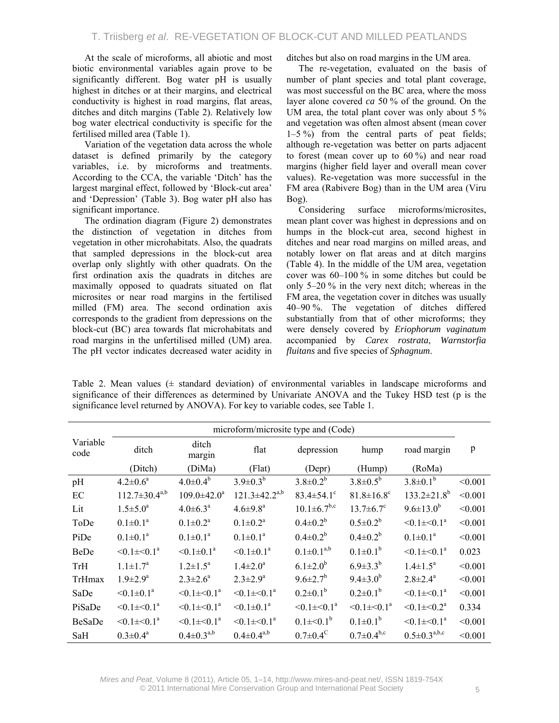At the scale of microforms, all abiotic and most biotic environmental variables again prove to be significantly different. Bog water pH is usually highest in ditches or at their margins, and electrical conductivity is highest in road margins, flat areas, ditches and ditch margins (Table 2). Relatively low bog water electrical conductivity is specific for the fertilised milled area (Table 1).

Variation of the vegetation data across the whole dataset is defined primarily by the category variables, i.e. by microforms and treatments. According to the CCA, the variable 'Ditch' has the largest marginal effect, followed by 'Block-cut area' and 'Depression' (Table 3). Bog water pH also has significant importance.

The ordination diagram (Figure 2) demonstrates the distinction of vegetation in ditches from vegetation in other microhabitats. Also, the quadrats that sampled depressions in the block-cut area overlap only slightly with other quadrats. On the first ordination axis the quadrats in ditches are maximally opposed to quadrats situated on flat microsites or near road margins in the fertilised milled (FM) area. The second ordination axis corresponds to the gradient from depressions on the block-cut (BC) area towards flat microhabitats and road margins in the unfertilised milled (UM) area. The pH vector indicates decreased water acidity in ditches but also on road margins in the UM area.

The re-vegetation, evaluated on the basis of number of plant species and total plant coverage, was most successful on the BC area, where the moss layer alone covered *ca* 50 % of the ground. On the UM area, the total plant cover was only about  $5\%$ and vegetation was often almost absent (mean cover 1–5 %) from the central parts of peat fields; although re-vegetation was better on parts adjacent to forest (mean cover up to  $60\%$ ) and near road margins (higher field layer and overall mean cover values). Re-vegetation was more successful in the FM area (Rabivere Bog) than in the UM area (Viru Bog).

Considering surface microforms/microsites, mean plant cover was highest in depressions and on humps in the block-cut area, second highest in ditches and near road margins on milled areas, and notably lower on flat areas and at ditch margins (Table 4). In the middle of the UM area, vegetation cover was 60–100 % in some ditches but could be only 5–20 % in the very next ditch; whereas in the FM area, the vegetation cover in ditches was usually 40–90 %. The vegetation of ditches differed substantially from that of other microforms; they were densely covered by *Eriophorum vaginatum* accompanied by *Carex rostrata*, *Warnstorfia fluitans* and five species of *Sphagnum*.

Table 2. Mean values  $(±$  standard deviation) of environmental variables in landscape microforms and significance of their differences as determined by Univariate ANOVA and the Tukey HSD test (p is the significance level returned by ANOVA). For key to variable codes, see Table 1.

|                  | microform/microsite type and (Code) |                              |                              |                              |                              |                               |         |  |
|------------------|-------------------------------------|------------------------------|------------------------------|------------------------------|------------------------------|-------------------------------|---------|--|
| Variable<br>code | ditch                               | ditch<br>margin              | flat                         | depression                   | hump                         | road margin                   | p       |  |
|                  | (Ditch)                             | (DiMa)                       | (Flat)                       | (Depr)                       | (Hump)                       | (RoMa)                        |         |  |
| pH               | $4.2 \pm 0.6^a$                     | $4.0 \pm 0.4^b$              | $3.9 \pm 0.3^b$              | $3.8 \pm 0.2^b$              | $3.8 \pm 0.5^b$              | $3.8 \pm 0.1^b$               | < 0.001 |  |
| $\rm EC$         | $112.7 \pm 30.4^{a,b}$              | $109.0 \pm 42.0^a$           | $121.3 \pm 42.2^{a,b}$       | $83.4 \pm 54.1$ °            | $81.8 \pm 16.8$ <sup>c</sup> | $133.2 \pm 21.8$ <sup>b</sup> | < 0.001 |  |
| Lit              | $1.5 \pm 5.0^a$                     | $4.0 \pm 6.3^{\text{a}}$     | $4.6 \pm 9.8$ <sup>a</sup>   | $10.1 \pm 6.7^{b,c}$         | $13.7 \pm 6.7$ °             | $9.6 \pm 13.0^b$              | < 0.001 |  |
| ToDe             | $0.1 \pm 0.1^a$                     | $0.1 \pm 0.2^a$              | $0.1 \pm 0.2^a$              | $0.4 \pm 0.2^b$              | $0.5 \pm 0.2^b$              | $< 0.1 \pm 0.1$ <sup>a</sup>  | < 0.001 |  |
| PiDe             | $0.1 \pm 0.1^a$                     | $0.1 \pm 0.1^a$              | $0.1 \pm 0.1^a$              | $0.4 \pm 0.2^b$              | $0.4 \pm 0.2^b$              | $0.1 \pm 0.1^a$               | < 0.001 |  |
| BeDe             | $< 0.1 \pm 0.1$ <sup>a</sup>        | $< 0.1 \pm 0.1$ <sup>a</sup> | $< 0.1 \pm 0.1$ <sup>a</sup> | $0.1 \pm 0.1^{a,b}$          | $0.1 \pm 0.1^b$              | $< 0.1 \pm 0.1$ <sup>a</sup>  | 0.023   |  |
| TrH              | $1.1 \pm 1.7^a$                     | $1.2 \pm 1.5^a$              | $1.4 \pm 2.0^a$              | $6.1 \pm 2.0^b$              | $6.9 \pm 3.3^{b}$            | $1.4 \pm 1.5^{\circ}$         | < 0.001 |  |
| TrHmax           | $1.9 \pm 2.9^a$                     | $2.3 \pm 2.6^a$              | $2.3 \pm 2.9^a$              | $9.6 \pm 2.7^b$              | $9.4 \pm 3.0^b$              | $2.8 \pm 2.4^a$               | < 0.001 |  |
| SaDe             | $< 0.1 \pm 0.1$ <sup>a</sup>        | $< 0.1 \pm 0.1$ <sup>a</sup> | $< 0.1 \pm 0.1$ <sup>a</sup> | $0.2 \pm 0.1^b$              | $0.2 \pm 0.1^b$              | $< 0.1 \pm 0.1$ <sup>a</sup>  | < 0.001 |  |
| PiSaDe           | $< 0.1 \pm 0.1$ <sup>a</sup>        | $< 0.1 \pm 0.1$ <sup>a</sup> | $< 0.1 \pm 0.1$ <sup>a</sup> | $< 0.1 \pm 0.1$ <sup>a</sup> | $< 0.1 \pm 0.1$ <sup>a</sup> | $< 0.1 \pm 0.2$ <sup>a</sup>  | 0.334   |  |
| <b>BeSaDe</b>    | $< 0.1 \pm 0.1$ <sup>a</sup>        | $< 0.1 \pm 0.1$ <sup>a</sup> | $< 0.1 \pm 0.1$ <sup>a</sup> | $0.1 \pm 0.1^{b}$            | $0.1 \pm 0.1^b$              | $< 0.1 \pm 0.1$ <sup>a</sup>  | < 0.001 |  |
| SaH              | $0.3 \pm 0.4^a$                     | $0.4 \pm 0.3^{a,b}$          | $0.4 \pm 0.4^{a,b}$          | $0.7 \pm 0.4$ <sup>C</sup>   | $0.7 \pm 0.4^{\rm b,c}$      | $0.5 \pm 0.3^{a,b,c}$         | < 0.001 |  |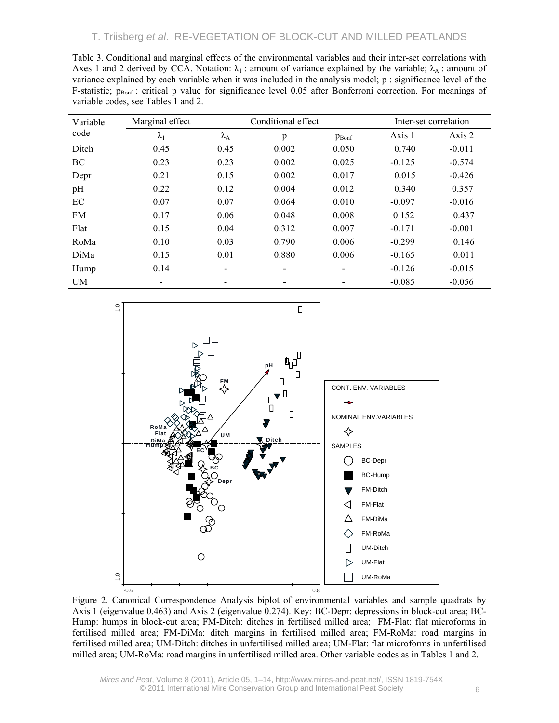| Table 3. Conditional and marginal effects of the environmental variables and their inter-set correlations with             |
|----------------------------------------------------------------------------------------------------------------------------|
| Axes 1 and 2 derived by CCA. Notation: $\lambda_1$ : amount of variance explained by the variable; $\lambda_A$ : amount of |
| variance explained by each variable when it was included in the analysis model; p : significance level of the              |
| F-statistic; $p_{\text{Ronf}}$ : critical p value for significance level 0.05 after Bonferroni correction. For meanings of |
| variable codes, see Tables 1 and 2.                                                                                        |
|                                                                                                                            |

| Variable  | Marginal effect          |                   | Conditional effect |                          | Inter-set correlation |          |  |
|-----------|--------------------------|-------------------|--------------------|--------------------------|-----------------------|----------|--|
| code      | $\lambda_1$              | $\lambda_{\rm A}$ | p                  | $p_{Bonf}$               | Axis 1                | Axis 2   |  |
| Ditch     | 0.45                     | 0.45              | 0.002              | 0.050                    | 0.740                 | $-0.011$ |  |
| BC        | 0.23                     | 0.23              | 0.002              | 0.025                    | $-0.125$              | $-0.574$ |  |
| Depr      | 0.21                     | 0.15              | 0.002              | 0.017                    | 0.015                 | $-0.426$ |  |
| pH        | 0.22                     | 0.12              | 0.004              | 0.012                    | 0.340                 | 0.357    |  |
| EC        | 0.07                     | 0.07              | 0.064              | 0.010                    | $-0.097$              | $-0.016$ |  |
| <b>FM</b> | 0.17                     | 0.06              | 0.048              | 0.008                    | 0.152                 | 0.437    |  |
| Flat      | 0.15                     | 0.04              | 0.312              | 0.007                    | $-0.171$              | $-0.001$ |  |
| RoMa      | 0.10                     | 0.03              | 0.790              | 0.006                    | $-0.299$              | 0.146    |  |
| DiMa      | 0.15                     | 0.01              | 0.880              | 0.006                    | $-0.165$              | 0.011    |  |
| Hump      | 0.14                     |                   |                    | $\overline{\phantom{0}}$ | $-0.126$              | $-0.015$ |  |
| <b>UM</b> | $\overline{\phantom{a}}$ |                   |                    |                          | $-0.085$              | $-0.056$ |  |



Figure 2. Canonical Correspondence Analysis biplot of environmental variables and sample quadrats by Axis 1 (eigenvalue 0.463) and Axis 2 (eigenvalue 0.274). Key: BC-Depr: depressions in block-cut area; BC-Hump: humps in block-cut area; FM-Ditch: ditches in fertilised milled area; FM-Flat: flat microforms in fertilised milled area; FM-DiMa: ditch margins in fertilised milled area; FM-RoMa: road margins in fertilised milled area; UM-Ditch: ditches in unfertilised milled area; UM-Flat: flat microforms in unfertilised milled area; UM-RoMa: road margins in unfertilised milled area. Other variable codes as in Tables 1 and 2.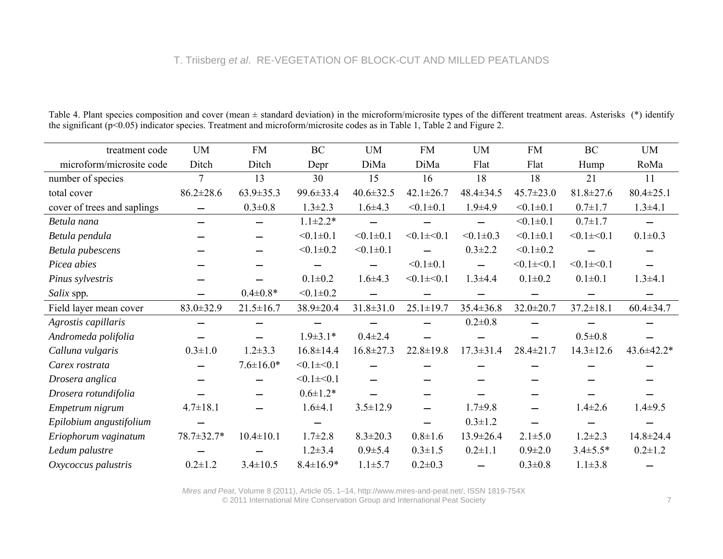|                             | <b>UM</b>                | <b>FM</b>       | <b>BC</b>       | <b>UM</b>       | <b>FM</b>       | <b>UM</b>                | <b>FM</b>       | BC              | <b>UM</b>       |
|-----------------------------|--------------------------|-----------------|-----------------|-----------------|-----------------|--------------------------|-----------------|-----------------|-----------------|
| treatment code              |                          |                 |                 |                 |                 |                          |                 |                 |                 |
| microform/microsite code    | Ditch                    | Ditch           | Depr            | DiMa            | DiMa            | Flat                     | Flat            | Hump            | RoMa            |
| number of species           | $\overline{7}$           | 13              | 30              | 15              | 16              | 18                       | 18              | 21              | 11              |
| total cover                 | $86.2 \pm 28.6$          | $63.9 \pm 35.3$ | 99.6±33.4       | $40.6 \pm 32.5$ | $42.1 \pm 26.7$ | $48.4 \pm 34.5$          | $45.7 \pm 23.0$ | $81.8 \pm 27.6$ | $80.4 \pm 25.1$ |
| cover of trees and saplings |                          | $0.3 \pm 0.8$   | $1.3 \pm 2.3$   | $1.6 \pm 4.3$   | $< 0.1 \pm 0.1$ | $1.9 + 4.9$              | $< 0.1 \pm 0.1$ | $0.7 + 1.7$     | $1.3 + 4.1$     |
| Betula nana                 | $\overline{\phantom{0}}$ |                 | $1.1 \pm 2.2*$  |                 |                 | $\overline{\phantom{0}}$ | $< 0.1 \pm 0.1$ | $0.7 \pm 1.7$   | $\equiv$        |
| Betula pendula              |                          |                 | $< 0.1 \pm 0.1$ | $< 0.1 \pm 0.1$ | $< 0.1 \pm 0.1$ | $< 0.1 \pm 0.3$          | $< 0.1 \pm 0.1$ | $< 0.1 \pm 0.1$ | $0.1 \pm 0.3$   |
| Betula pubescens            |                          |                 | $< 0.1 \pm 0.2$ | $< 0.1 \pm 0.1$ |                 | $0.3 \pm 2.2$            | $< 0.1 \pm 0.2$ |                 |                 |
| Picea abies                 |                          |                 |                 |                 | $< 0.1 \pm 0.1$ |                          | $< 0.1 \pm 0.1$ | $< 0.1 \pm 0.1$ |                 |
| Pinus sylvestris            |                          |                 | $0.1 \pm 0.2$   | $1.6 \pm 4.3$   | $< 0.1 \pm 0.1$ | $1.3 + 4.4$              | $0.1 \pm 0.2$   | $0.1 \pm 0.1$   | $1.3 + 4.1$     |
| Salix spp.                  |                          | $0.4 \pm 0.8*$  | $< 0.1 \pm 0.2$ |                 |                 |                          |                 |                 |                 |
| Field layer mean cover      | $83.0 \pm 32.9$          | $21.5 \pm 16.7$ | 38.9±20.4       | $31.8 \pm 31.0$ | $25.1 \pm 19.7$ | $35.4 \pm 36.8$          | $32.0 \pm 20.7$ | $37.2 \pm 18.1$ | $60.4 \pm 34.7$ |
| Agrostis capillaris         |                          |                 |                 |                 |                 | $0.2 \pm 0.8$            |                 |                 |                 |
| Andromeda polifolia         |                          |                 | $1.9 \pm 3.1*$  | $0.4 \pm 2.4$   |                 |                          |                 | $0.5 \pm 0.8$   |                 |
| Calluna vulgaris            | $0.3 \pm 1.0$            | $1.2 \pm 3.3$   | $16.8 \pm 14.4$ | $16.8 \pm 27.3$ | $22.8 \pm 19.8$ | $17.3 \pm 31.4$          | $28.4 \pm 21.7$ | $14.3 \pm 12.6$ | 43.6±42.2*      |
| Carex rostrata              |                          | $7.6 \pm 16.0*$ | $< 0.1 \pm 0.1$ |                 |                 |                          |                 |                 |                 |
| Drosera anglica             |                          |                 | $< 0.1 \pm 0.1$ |                 |                 |                          |                 |                 |                 |
| Drosera rotundifolia        |                          |                 | $0.6 \pm 1.2*$  |                 |                 |                          |                 |                 |                 |
| Empetrum nigrum             | $4.7 \pm 18.1$           |                 | $1.6 + 4.1$     | $3.5 \pm 12.9$  |                 | $1.7 + 9.8$              |                 | $1.4 \pm 2.6$   | $1.4\pm9.5$     |
| Epilobium angustifolium     |                          |                 |                 |                 |                 | $0.3 \pm 1.2$            |                 |                 |                 |
| Eriophorum vaginatum        | 78.7±32.7*               | $10.4 \pm 10.1$ | $1.7 \pm 2.8$   | $8.3 \pm 20.3$  | $0.8 \pm 1.6$   | $13.9 \pm 26.4$          | $2.1 \pm 5.0$   | $1.2 \pm 2.3$   | $14.8 \pm 24.4$ |
| Ledum palustre              |                          |                 | $1.2 \pm 3.4$   | $0.9 + 5.4$     | $0.3 \pm 1.5$   | $0.2 \pm 1.1$            | $0.9 \pm 2.0$   | $3.4 \pm 5.5*$  | $0.2 \pm 1.2$   |
| Oxycoccus palustris         | $0.2 \pm 1.2$            | $3.4 \pm 10.5$  | $8.4 \pm 16.9*$ | $1.1 \pm 5.7$   | $0.2 \pm 0.3$   |                          | $0.3 \pm 0.8$   | $1.1 \pm 3.8$   |                 |

Table 4. Plant species composition and cover (mean  $\pm$  standard deviation) in the microform/microsite types of the different treatment areas. Asterisks (\*) identify the significant (p<0.05) indicator species. Treatment and microform/microsite codes as in Table 1, Table 2 and Figure 2.

*Mires and Peat*, Volume 8 (2011), Article 05, 1–14, http://www.mires-and-peat.net/, ISSN 1819-754X © 2011 International Mire Conservation Group and International Peat Society 7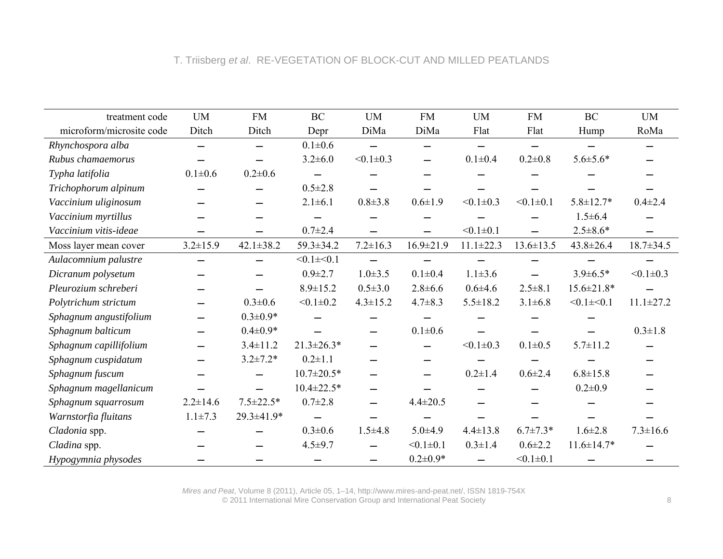| treatment code           | <b>UM</b>                | <b>FM</b>                | <b>BC</b>        | <b>UM</b>       | <b>FM</b>                | <b>UM</b>       | <b>FM</b>       | BC               | <b>UM</b>       |
|--------------------------|--------------------------|--------------------------|------------------|-----------------|--------------------------|-----------------|-----------------|------------------|-----------------|
| microform/microsite code | Ditch                    | Ditch                    | Depr             | DiMa            | DiMa                     | Flat            | Flat            | Hump             | RoMa            |
| Rhynchospora alba        |                          |                          | $0.1 \pm 0.6$    |                 |                          |                 |                 |                  |                 |
| Rubus chamaemorus        |                          |                          | $3.2 \pm 6.0$    | $< 0.1 \pm 0.3$ |                          | $0.1 \pm 0.4$   | $0.2 \pm 0.8$   | $5.6 \pm 5.6*$   |                 |
| Typha latifolia          | $0.1 \pm 0.6$            | $0.2 \pm 0.6$            |                  |                 |                          |                 |                 |                  |                 |
| Trichophorum alpinum     |                          |                          | $0.5 \pm 2.8$    |                 |                          |                 |                 |                  |                 |
| Vaccinium uliginosum     |                          |                          | $2.1 \pm 6.1$    | $0.8 + 3.8$     | $0.6 \pm 1.9$            | $< 0.1 \pm 0.3$ | $< 0.1 \pm 0.1$ | $5.8 \pm 12.7*$  | $0.4 \pm 2.4$   |
| Vaccinium myrtillus      |                          |                          |                  |                 |                          |                 |                 | $1.5 \pm 6.4$    |                 |
| Vaccinium vitis-ideae    |                          |                          | $0.7 \pm 2.4$    |                 |                          | $< 0.1 \pm 0.1$ |                 | $2.5 \pm 8.6*$   |                 |
| Moss layer mean cover    | $3.2 \pm 15.9$           | $42.1 \pm 38.2$          | 59.3±34.2        | $7.2 \pm 16.3$  | $16.9 \pm 21.9$          | $11.1 \pm 22.3$ | $13.6 \pm 13.5$ | $43.8 \pm 26.4$  | $18.7 \pm 34.5$ |
| Aulacomnium palustre     | $\overline{\phantom{0}}$ | $\overline{\phantom{0}}$ | $< 0.1 \pm 0.1$  |                 |                          |                 |                 |                  |                 |
| Dicranum polysetum       |                          |                          | $0.9 \pm 2.7$    | $1.0 \pm 3.5$   | $0.1 \pm 0.4$            | $1.1 \pm 3.6$   |                 | $3.9 \pm 6.5*$   | $< 0.1 \pm 0.3$ |
| Pleurozium schreberi     |                          |                          | $8.9 \pm 15.2$   | $0.5 \pm 3.0$   | $2.8 \pm 6.6$            | $0.6 + 4.6$     | $2.5 \pm 8.1$   | $15.6 \pm 21.8*$ |                 |
| Polytrichum strictum     |                          | $0.3 \pm 0.6$            | $< 0.1 \pm 0.2$  | $4.3 \pm 15.2$  | $4.7 \pm 8.3$            | $5.5 \pm 18.2$  | $3.1 \pm 6.8$   | $< 0.1 \pm 0.1$  | $11.1 \pm 27.2$ |
| Sphagnum angustifolium   |                          | $0.3 \pm 0.9*$           |                  |                 |                          |                 |                 |                  |                 |
| Sphagnum balticum        |                          | $0.4 \pm 0.9*$           |                  |                 | $0.1 \pm 0.6$            |                 |                 |                  | $0.3 \pm 1.8$   |
| Sphagnum capillifolium   |                          | $3.4 \pm 11.2$           | $21.3 \pm 26.3*$ |                 |                          | $< 0.1 \pm 0.3$ | $0.1 \pm 0.5$   | $5.7 \pm 11.2$   |                 |
| Sphagnum cuspidatum      |                          | $3.2 \pm 7.2*$           | $0.2 \pm 1.1$    |                 | $\overline{\phantom{0}}$ |                 |                 |                  |                 |
| Sphagnum fuscum          |                          | —                        | $10.7 \pm 20.5*$ |                 |                          | $0.2 \pm 1.4$   | $0.6 \pm 2.4$   | $6.8 \pm 15.8$   |                 |
| Sphagnum magellanicum    |                          |                          | $10.4 \pm 22.5*$ |                 |                          |                 |                 | $0.2 \pm 0.9$    |                 |
| Sphagnum squarrosum      | $2.2 \pm 14.6$           | $7.5 \pm 22.5*$          | $0.7 \pm 2.8$    |                 | $4.4 \pm 20.5$           |                 |                 |                  |                 |
| Warnstorfia fluitans     | $1.1 \pm 7.3$            | 29.3±41.9*               |                  |                 |                          |                 |                 |                  |                 |
| Cladonia spp.            |                          |                          | $0.3 \pm 0.6$    | $1.5 \pm 4.8$   | $5.0 + 4.9$              | $4.4 \pm 13.8$  | $6.7 \pm 7.3*$  | $1.6 \pm 2.8$    | $7.3 \pm 16.6$  |
| Cladina spp.             |                          |                          | $4.5 + 9.7$      |                 | $< 0.1 \pm 0.1$          | $0.3 \pm 1.4$   | $0.6 \pm 2.2$   | $11.6 \pm 14.7*$ |                 |
| Hypogymnia physodes      |                          |                          |                  |                 | $0.2 \pm 0.9*$           |                 | $< 0.1 \pm 0.1$ |                  |                 |

*Mires and Peat*, Volume 8 (2011), Article 05, 1–14, http://www.mires-and-peat.net/, ISSN 1819-754X © 2011 International Mire Conservation Group and International Peat Society 8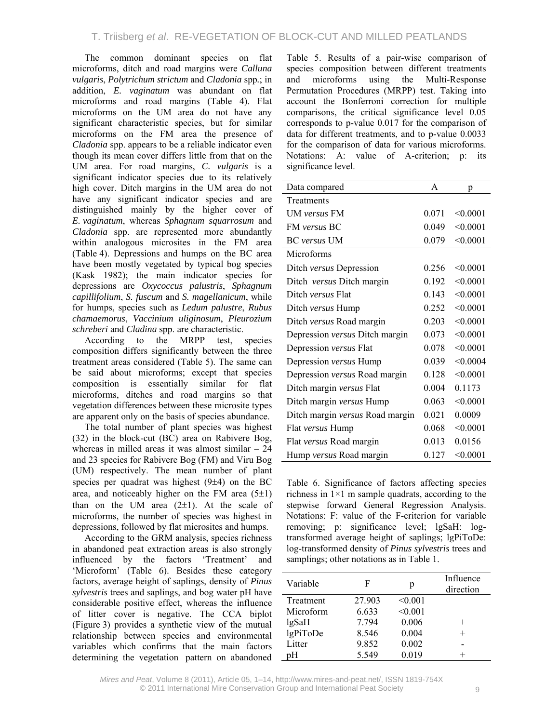The common dominant species on flat microforms, ditch and road margins were *Calluna vulgaris*, *Polytrichum strictum* and *Cladonia* spp*.*; in addition, *E. vaginatum* was abundant on flat microforms and road margins (Table 4). Flat microforms on the UM area do not have any significant characteristic species, but for similar microforms on the FM area the presence of *Cladonia* spp. appears to be a reliable indicator even though its mean cover differs little from that on the UM area. For road margins, *C. vulgaris* is a significant indicator species due to its relatively high cover. Ditch margins in the UM area do not have any significant indicator species and are distinguished mainly by the higher cover of *E. vaginatum*, whereas *Sphagnum squarrosum* and *Cladonia* spp. are represented more abundantly within analogous microsites in the FM area (Table 4). Depressions and humps on the BC area have been mostly vegetated by typical bog species (Kask 1982); the main indicator species for depressions are *Oxycoccus palustris*, *Sphagnum capillifolium*, *S. fuscum* and *S. magellanicum*, while for humps, species such as *Ledum palustre*, *Rubus chamaemorus*, *Vaccinium uliginosum*, *Pleurozium schreberi* and *Cladina* spp. are characteristic.

According to the MRPP test, species composition differs significantly between the three treatment areas considered (Table 5). The same can be said about microforms; except that species composition is essentially similar for flat microforms, ditches and road margins so that vegetation differences between these microsite types are apparent only on the basis of species abundance.

The total number of plant species was highest (32) in the block-cut (BC) area on Rabivere Bog, whereas in milled areas it was almost similar – 24 and 23 species for Rabivere Bog (FM) and Viru Bog (UM) respectively. The mean number of plant species per quadrat was highest (9±4) on the BC area, and noticeably higher on the FM area  $(5\pm 1)$ than on the UM area  $(2\pm 1)$ . At the scale of microforms, the number of species was highest in depressions, followed by flat microsites and humps.

According to the GRM analysis, species richness in abandoned peat extraction areas is also strongly influenced by the factors 'Treatment' and 'Microform' (Table 6). Besides these category factors, average height of saplings, density of *Pinus sylvestris* trees and saplings, and bog water pH have considerable positive effect, whereas the influence of litter cover is negative. The CCA biplot (Figure 3) provides a synthetic view of the mutual relationship between species and environmental variables which confirms that the main factors determining the vegetation pattern on abandoned

Table 5. Results of a pair-wise comparison of species composition between different treatments and microforms using the Multi-Response Permutation Procedures (MRPP) test. Taking into account the Bonferroni correction for multiple comparisons, the critical significance level 0.05 corresponds to p-value 0.017 for the comparison of data for different treatments, and to p-value 0.0033 for the comparison of data for various microforms. Notations: A: value of A-criterion; p: its significance level.

| Data compared                   | A     | p        |
|---------------------------------|-------|----------|
| Treatments                      |       |          |
| <b>UM</b> versus FM             | 0.071 | < 0.0001 |
| <b>FM</b> versus <b>BC</b>      | 0.049 | < 0.0001 |
| <b>BC</b> versus UM             | 0.079 | < 0.0001 |
| Microforms                      |       |          |
| Ditch versus Depression         | 0.256 | < 0.0001 |
| Ditch versus Ditch margin       | 0.192 | < 0.0001 |
| Ditch versus Flat               | 0.143 | < 0.0001 |
| Ditch versus Hump               | 0.252 | < 0.0001 |
| Ditch versus Road margin        | 0.203 | < 0.0001 |
| Depression versus Ditch margin  | 0.073 | < 0.0001 |
| Depression versus Flat          | 0.078 | < 0.0001 |
| Depression versus Hump          | 0.039 | < 0.0004 |
| Depression versus Road margin   | 0.128 | < 0.0001 |
| Ditch margin versus Flat        | 0.004 | 0.1173   |
| Ditch margin versus Hump        | 0.063 | < 0.0001 |
| Ditch margin versus Road margin | 0.021 | 0.0009   |
| Flat versus Hump                | 0.068 | < 0.0001 |
| Flat versus Road margin         | 0.013 | 0.0156   |
| Hump versus Road margin         | 0.127 | < 0.0001 |

Table 6. Significance of factors affecting species richness in  $1\times1$  m sample quadrats, according to the stepwise forward General Regression Analysis. Notations: F: value of the F-criterion for variable removing; p: significance level; lgSaH: logtransformed average height of saplings; lgPiToDe: log-transformed density of *Pinus sylvestris* trees and samplings; other notations as in Table 1.

| Variable  | F      | p       | Influence<br>direction |
|-----------|--------|---------|------------------------|
| Treatment | 27.903 | < 0.001 |                        |
| Microform | 6.633  | < 0.001 |                        |
| $lg$ SaH  | 7.794  | 0.006   | $^+$                   |
| lgPiToDe  | 8.546  | 0.004   | $^{+}$                 |
| Litter    | 9.852  | 0.002   |                        |
| pΗ        | 5.549  | 0.019   |                        |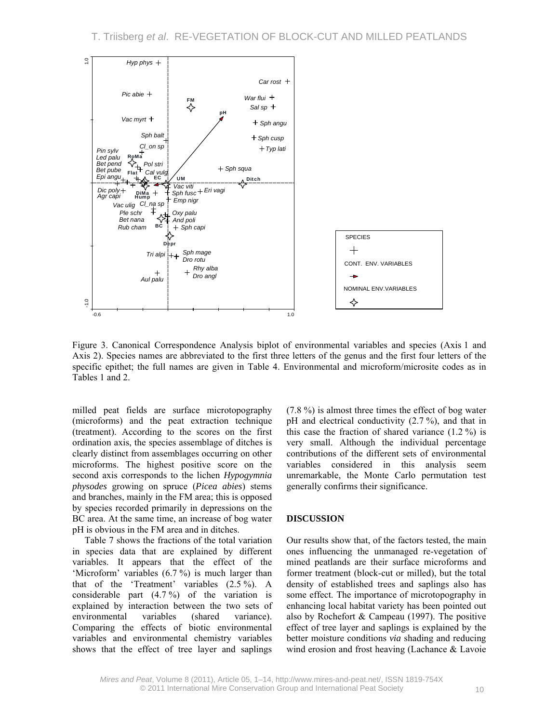

Figure 3. Canonical Correspondence Analysis biplot of environmental variables and species (Axis 1 and Axis 2). Species names are abbreviated to the first three letters of the genus and the first four letters of the specific epithet; the full names are given in Table 4. Environmental and microform/microsite codes as in Tables 1 and 2.

milled peat fields are surface microtopography (microforms) and the peat extraction technique (treatment). According to the scores on the first ordination axis, the species assemblage of ditches is clearly distinct from assemblages occurring on other microforms. The highest positive score on the second axis corresponds to the lichen *Hypogymnia physodes* growing on spruce (*Picea abies*) stems and branches, mainly in the FM area; this is opposed by species recorded primarily in depressions on the BC area. At the same time, an increase of bog water pH is obvious in the FM area and in ditches.

Table 7 shows the fractions of the total variation in species data that are explained by different variables. It appears that the effect of the 'Microform' variables (6.7 %) is much larger than that of the 'Treatment' variables (2.5 %). A considerable part  $(4.7\%)$  of the variation is explained by interaction between the two sets of environmental variables (shared variance). Comparing the effects of biotic environmental variables and environmental chemistry variables shows that the effect of tree layer and saplings

(7.8 %) is almost three times the effect of bog water pH and electrical conductivity (2.7 %), and that in this case the fraction of shared variance (1.2 %) is very small. Although the individual percentage contributions of the different sets of environmental variables considered in this analysis seem unremarkable, the Monte Carlo permutation test generally confirms their significance.

#### **DISCUSSION**

Our results show that, of the factors tested, the main ones influencing the unmanaged re-vegetation of mined peatlands are their surface microforms and former treatment (block-cut or milled), but the total density of established trees and saplings also has some effect. The importance of microtopography in enhancing local habitat variety has been pointed out also by Rochefort & Campeau (1997). The positive effect of tree layer and saplings is explained by the better moisture conditions *via* shading and reducing wind erosion and frost heaving (Lachance & Lavoie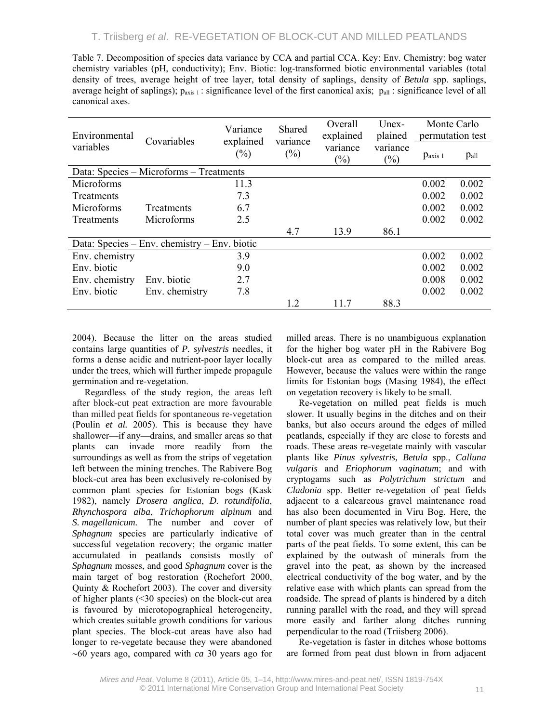| Table 7. Decomposition of species data variance by CCA and partial CCA. Key: Env. Chemistry: bog water                            |
|-----------------------------------------------------------------------------------------------------------------------------------|
| chemistry variables (pH, conductivity); Env. Biotic: log-transformed biotic environmental variables (total                        |
| density of trees, average height of tree layer, total density of saplings, density of <i>Betula</i> spp. saplings,                |
| average height of saplings); $p_{axis 1}$ : significance level of the first canonical axis; $p_{all}$ : significance level of all |
| canonical axes.                                                                                                                   |

| Environmental                           | Covariables                                  | Variance<br>explained | Shared<br>variance | Overall<br>explained | Unex-<br>plained | Monte Carlo<br>permutation test |       |
|-----------------------------------------|----------------------------------------------|-----------------------|--------------------|----------------------|------------------|---------------------------------|-------|
| variables                               |                                              | $(\%)$                | $(\%)$             | variance<br>$(\%)$   | variance<br>(%)  | $p_{axis 1}$                    | Pall  |
| Data: Species – Microforms – Treatments |                                              |                       |                    |                      |                  |                                 |       |
| Microforms                              |                                              | 11.3                  |                    |                      |                  | 0.002                           | 0.002 |
| <b>Treatments</b>                       |                                              | 7.3                   |                    |                      |                  | 0.002                           | 0.002 |
| Microforms                              | <b>Treatments</b>                            | 6.7                   |                    |                      |                  | 0.002                           | 0.002 |
| Treatments                              | Microforms                                   | 2.5                   |                    |                      |                  | 0.002                           | 0.002 |
|                                         |                                              |                       | 4.7                | 13.9                 | 86.1             |                                 |       |
|                                         | Data: Species – Env. chemistry – Env. biotic |                       |                    |                      |                  |                                 |       |
| Env. chemistry                          |                                              | 3.9                   |                    |                      |                  | 0.002                           | 0.002 |
| Env. biotic                             |                                              | 9.0                   |                    |                      |                  | 0.002                           | 0.002 |
| Env. chemistry                          | Env. biotic                                  | 2.7                   |                    |                      |                  | 0.008                           | 0.002 |
| Env. biotic                             | Env. chemistry                               | 7.8                   |                    |                      |                  | 0.002                           | 0.002 |
|                                         |                                              |                       | 1.2                | 11.7                 | 88.3             |                                 |       |

2004). Because the litter on the areas studied contains large quantities of *P. sylvestris* needles, it forms a dense acidic and nutrient-poor layer locally under the trees, which will further impede propagule germination and re-vegetation.

Regardless of the study region, the areas left after block-cut peat extraction are more favourable than milled peat fields for spontaneous re-vegetation (Poulin *et al.* 2005). This is because they have shallower—if any—drains, and smaller areas so that plants can invade more readily from the surroundings as well as from the strips of vegetation left between the mining trenches. The Rabivere Bog block-cut area has been exclusively re-colonised by common plant species for Estonian bogs (Kask 1982), namely *Drosera anglica*, *D. rotundifolia*, *Rhynchospora alba*, *Trichophorum alpinum* and *S. magellanicum.* The number and cover of *Sphagnum* species are particularly indicative of successful vegetation recovery; the organic matter accumulated in peatlands consists mostly of *Sphagnum* mosses, and good *Sphagnum* cover is the main target of bog restoration (Rochefort 2000, Quinty & Rochefort 2003). The cover and diversity of higher plants (<30 species) on the block-cut area is favoured by microtopographical heterogeneity, which creates suitable growth conditions for various plant species. The block-cut areas have also had longer to re-vegetate because they were abandoned ∼60 years ago, compared with *ca* 30 years ago for

milled areas. There is no unambiguous explanation for the higher bog water pH in the Rabivere Bog block-cut area as compared to the milled areas. However, because the values were within the range limits for Estonian bogs (Masing 1984), the effect on vegetation recovery is likely to be small.

Re-vegetation on milled peat fields is much slower. It usually begins in the ditches and on their banks, but also occurs around the edges of milled peatlands, especially if they are close to forests and roads. These areas re-vegetate mainly with vascular plants like *Pinus sylvestris, Betula* spp., *Calluna vulgaris* and *Eriophorum vaginatum*; and with cryptogams such as *Polytrichum strictum* and *Cladonia* spp. Better re-vegetation of peat fields adjacent to a calcareous gravel maintenance road has also been documented in Viru Bog. Here, the number of plant species was relatively low, but their total cover was much greater than in the central parts of the peat fields. To some extent, this can be explained by the outwash of minerals from the gravel into the peat, as shown by the increased electrical conductivity of the bog water, and by the relative ease with which plants can spread from the roadside. The spread of plants is hindered by a ditch running parallel with the road, and they will spread more easily and farther along ditches running perpendicular to the road (Triisberg 2006).

Re-vegetation is faster in ditches whose bottoms are formed from peat dust blown in from adjacent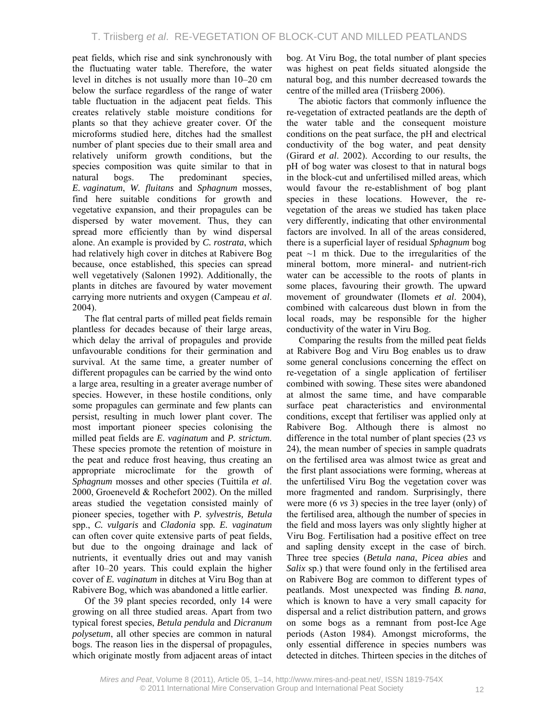peat fields, which rise and sink synchronously with the fluctuating water table. Therefore, the water level in ditches is not usually more than 10–20 cm below the surface regardless of the range of water table fluctuation in the adjacent peat fields. This creates relatively stable moisture conditions for plants so that they achieve greater cover. Of the microforms studied here, ditches had the smallest number of plant species due to their small area and relatively uniform growth conditions, but the species composition was quite similar to that in natural bogs. The predominant species, *E. vaginatum*, *W. fluitans* and *Sphagnum* mosses, find here suitable conditions for growth and vegetative expansion, and their propagules can be dispersed by water movement. Thus, they can spread more efficiently than by wind dispersal alone. An example is provided by *C. rostrata*, which had relatively high cover in ditches at Rabivere Bog because, once established, this species can spread well vegetatively (Salonen 1992). Additionally, the plants in ditches are favoured by water movement carrying more nutrients and oxygen (Campeau *et al*. 2004).

The flat central parts of milled peat fields remain plantless for decades because of their large areas, which delay the arrival of propagules and provide unfavourable conditions for their germination and survival. At the same time, a greater number of different propagules can be carried by the wind onto a large area, resulting in a greater average number of species. However, in these hostile conditions, only some propagules can germinate and few plants can persist, resulting in much lower plant cover. The most important pioneer species colonising the milled peat fields are *E. vaginatum* and *P. strictum.*  These species promote the retention of moisture in the peat and reduce frost heaving, thus creating an appropriate microclimate for the growth of *Sphagnum* mosses and other species (Tuittila *et al*. 2000, Groeneveld & Rochefort 2002). On the milled areas studied the vegetation consisted mainly of pioneer species, together with *P. sylvestris, Betula* spp., *C. vulgaris* and *Cladonia* spp*. E. vaginatum* can often cover quite extensive parts of peat fields, but due to the ongoing drainage and lack of nutrients, it eventually dries out and may vanish after 10–20 years. This could explain the higher cover of *E. vaginatum* in ditches at Viru Bog than at Rabivere Bog, which was abandoned a little earlier.

Of the 39 plant species recorded, only 14 were growing on all three studied areas. Apart from two typical forest species, *Betula pendula* and *Dicranum polysetum*, all other species are common in natural bogs. The reason lies in the dispersal of propagules, which originate mostly from adjacent areas of intact bog. At Viru Bog, the total number of plant species was highest on peat fields situated alongside the natural bog, and this number decreased towards the centre of the milled area (Triisberg 2006).

The abiotic factors that commonly influence the re-vegetation of extracted peatlands are the depth of the water table and the consequent moisture conditions on the peat surface, the pH and electrical conductivity of the bog water, and peat density (Girard *et al*. 2002). According to our results, the pH of bog water was closest to that in natural bogs in the block-cut and unfertilised milled areas, which would favour the re-establishment of bog plant species in these locations. However, the revegetation of the areas we studied has taken place very differently, indicating that other environmental factors are involved. In all of the areas considered, there is a superficial layer of residual *Sphagnum* bog peat  $\sim$ 1 m thick. Due to the irregularities of the mineral bottom, more mineral- and nutrient-rich water can be accessible to the roots of plants in some places, favouring their growth. The upward movement of groundwater (Ilomets *et al*. 2004), combined with calcareous dust blown in from the local roads, may be responsible for the higher conductivity of the water in Viru Bog.

Comparing the results from the milled peat fields at Rabivere Bog and Viru Bog enables us to draw some general conclusions concerning the effect on re-vegetation of a single application of fertiliser combined with sowing. These sites were abandoned at almost the same time, and have comparable surface peat characteristics and environmental conditions, except that fertiliser was applied only at Rabivere Bog. Although there is almost no difference in the total number of plant species (23 *vs* 24), the mean number of species in sample quadrats on the fertilised area was almost twice as great and the first plant associations were forming, whereas at the unfertilised Viru Bog the vegetation cover was more fragmented and random. Surprisingly, there were more (6 *vs* 3) species in the tree layer (only) of the fertilised area, although the number of species in the field and moss layers was only slightly higher at Viru Bog. Fertilisation had a positive effect on tree and sapling density except in the case of birch. Three tree species (*Betula nana*, *Picea abies* and *Salix* sp.) that were found only in the fertilised area on Rabivere Bog are common to different types of peatlands. Most unexpected was finding *B. nana*, which is known to have a very small capacity for dispersal and a relict distribution pattern, and grows on some bogs as a remnant from post-Ice Age periods (Aston 1984). Amongst microforms, the only essential difference in species numbers was detected in ditches. Thirteen species in the ditches of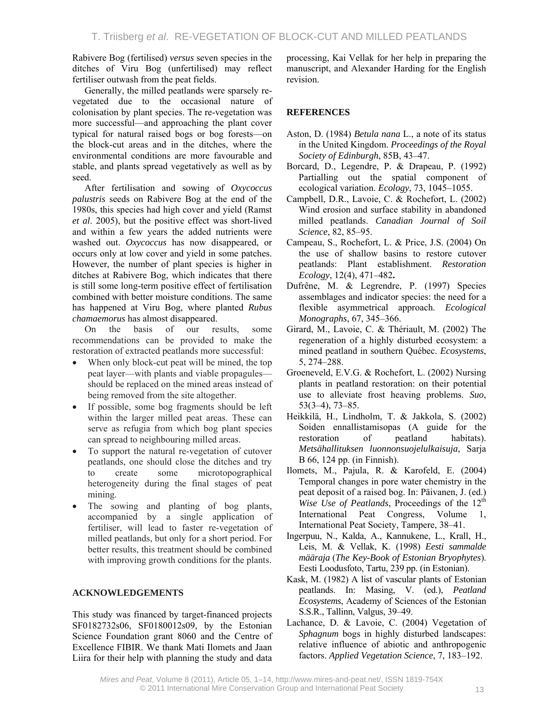Rabivere Bog (fertilised) *versus* seven species in the ditches of Viru Bog (unfertilised) may reflect fertiliser outwash from the peat fields.

Generally, the milled peatlands were sparsely revegetated due to the occasional nature of colonisation by plant species. The re-vegetation was more successful—and approaching the plant cover typical for natural raised bogs or bog forests—on the block-cut areas and in the ditches, where the environmental conditions are more favourable and stable, and plants spread vegetatively as well as by seed.

After fertilisation and sowing of *Oxycoccus palustris* seeds on Rabivere Bog at the end of the 1980s, this species had high cover and yield (Ramst *et al*. 2005), but the positive effect was short-lived and within a few years the added nutrients were washed out. *Oxycoccus* has now disappeared, or occurs only at low cover and yield in some patches. However, the number of plant species is higher in ditches at Rabivere Bog, which indicates that there is still some long-term positive effect of fertilisation combined with better moisture conditions. The same has happened at Viru Bog, where planted *Rubus chamaemorus* has almost disappeared.

On the basis of our results, some recommendations can be provided to make the restoration of extracted peatlands more successful:

- When only block-cut peat will be mined, the top peat layer—with plants and viable propagules should be replaced on the mined areas instead of being removed from the site altogether.
- If possible, some bog fragments should be left within the larger milled peat areas. These can serve as refugia from which bog plant species can spread to neighbouring milled areas.
- To support the natural re-vegetation of cutover peatlands, one should close the ditches and try to create some microtopographical heterogeneity during the final stages of peat mining.
- The sowing and planting of bog plants, accompanied by a single application of fertiliser, will lead to faster re-vegetation of milled peatlands, but only for a short period. For better results, this treatment should be combined with improving growth conditions for the plants.

### **ACKNOWLEDGEMENTS**

This study was financed by target-financed projects SF0182732s06, SF0180012s09, by the Estonian Science Foundation grant 8060 and the Centre of Excellence FIBIR. We thank Mati Ilomets and Jaan Liira for their help with planning the study and data processing, Kai Vellak for her help in preparing the manuscript, and Alexander Harding for the English revision.

# **REFERENCES**

- Aston, D. (1984) *Betula nana* L., a note of its status in the United Kingdom. *Proceedings of the Royal Society of Edinburgh*, 85B, 43–47.
- Borcard, D., Legendre, P. & Drapeau, P. (1992) Partialling out the spatial component of ecological variation. *Ecology*, 73, 1045–1055.
- Campbell, D.R., Lavoie, C. & Rochefort, L. (2002) Wind erosion and surface stability in abandoned milled peatlands. *Canadian Journal of Soil Science*, 82, 85–95.
- Campeau, S., Rochefort, L. & Price, J.S. (2004) On the use of shallow basins to restore cutover peatlands: Plant establishment. *Restoration Ecology*, 12(4), 471–482**.**
- Dufrêne, M. & Legrendre, P. (1997) Species assemblages and indicator species: the need for a flexible asymmetrical approach. *Ecological Monographs*, 67, 345–366.
- Girard, M., Lavoie, C. & Thériault, M. (2002) The regeneration of a highly disturbed ecosystem: a mined peatland in southern Québec. *Ecosystems*, 5, 274–288.
- Groeneveld, E.V.G. & Rochefort, L. (2002) Nursing plants in peatland restoration: on their potential use to alleviate frost heaving problems. *Suo*, 53(3–4), 73–85.
- Heikkilä, H., Lindholm, T. & Jakkola, S. (2002) Soiden ennallistamisopas (A guide for the restoration of peatland habitats). *Metsähallituksen luonnonsuojelulkaisuja*, Sarja B 66, 124 pp. (in Finnish).
- Ilomets, M., Pajula, R. & Karofeld, E. (2004) Temporal changes in pore water chemistry in the peat deposit of a raised bog. In: Päivanen, J. (ed.) *Wise Use of Peatlands*, Proceedings of the 12<sup>th</sup> International Peat Congress, Volume 1, International Peat Society, Tampere, 38–41.
- Ingerpuu, N., Kalda, A., Kannukene, L., Krall, H., Leis, M. & Vellak, K. (1998) *Eesti sammalde määraja* (*The Key-Book of Estonian Bryophytes*). Eesti Loodusfoto, Tartu, 239 pp. (in Estonian).
- Kask, M. (1982) A list of vascular plants of Estonian peatlands. In: Masing, V. (ed.), *Peatland Ecosystems*, Academy of Sciences of the Estonian S.S.R., Tallinn, Valgus, 39–49.
- Lachance, D. & Lavoie, C. (2004) Vegetation of *Sphagnum* bogs in highly disturbed landscapes: relative influence of abiotic and anthropogenic factors. *Applied Vegetation Science*, 7, 183–192.